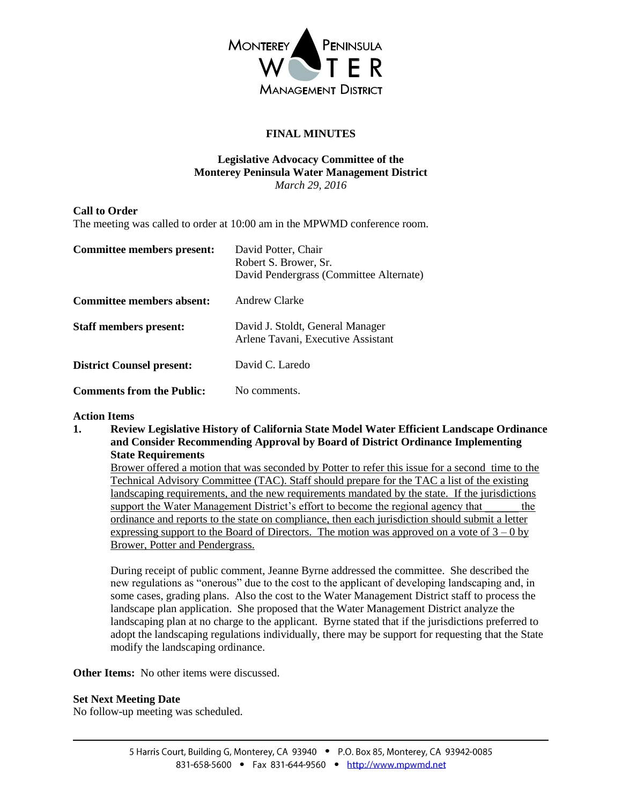

## **FINAL MINUTES**

#### **Legislative Advocacy Committee of the Monterey Peninsula Water Management District** *March 29, 2016*

### **Call to Order**

The meeting was called to order at 10:00 am in the MPWMD conference room.

| Committee members present:       | David Potter, Chair<br>Robert S. Brower, Sr.<br>David Pendergrass (Committee Alternate) |
|----------------------------------|-----------------------------------------------------------------------------------------|
| Committee members absent:        | <b>Andrew Clarke</b>                                                                    |
| <b>Staff members present:</b>    | David J. Stoldt, General Manager<br>Arlene Tavani, Executive Assistant                  |
| <b>District Counsel present:</b> | David C. Laredo                                                                         |
| <b>Comments from the Public:</b> | No comments.                                                                            |

#### **Action Items**

**1. Review Legislative History of California State Model Water Efficient Landscape Ordinance and Consider Recommending Approval by Board of District Ordinance Implementing State Requirements**

Brower offered a motion that was seconded by Potter to refer this issue for a second time to the Technical Advisory Committee (TAC). Staff should prepare for the TAC a list of the existing landscaping requirements, and the new requirements mandated by the state. If the jurisdictions support the Water Management District's effort to become the regional agency that the ordinance and reports to the state on compliance, then each jurisdiction should submit a letter expressing support to the Board of Directors. The motion was approved on a vote of  $3 - 0$  by Brower, Potter and Pendergrass.

During receipt of public comment, Jeanne Byrne addressed the committee. She described the new regulations as "onerous" due to the cost to the applicant of developing landscaping and, in some cases, grading plans. Also the cost to the Water Management District staff to process the landscape plan application. She proposed that the Water Management District analyze the landscaping plan at no charge to the applicant. Byrne stated that if the jurisdictions preferred to adopt the landscaping regulations individually, there may be support for requesting that the State modify the landscaping ordinance.

**Other Items:** No other items were discussed.

#### **Set Next Meeting Date**

No follow-up meeting was scheduled.